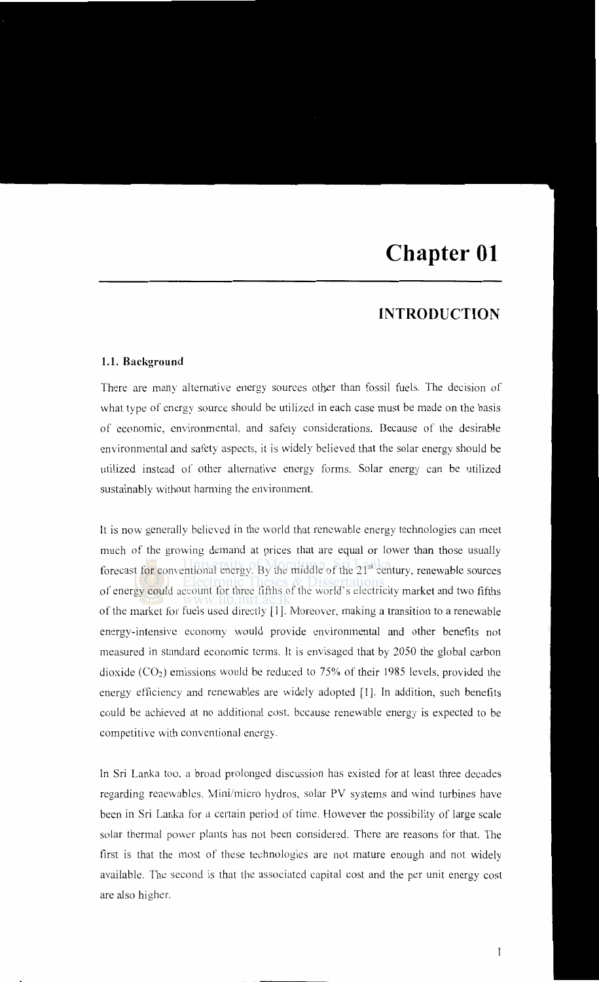## **INTRODUCTION**

## **1.1. Background**

There are many alternative energy sources other than fossil fuels. The decision of what type of energy source should be utilized in each case must be made on the basis of economic, environmental, and safety considerations. Because of the desirable environmental and safety aspects, it is widely believed that the solar energy should be utilized instead of other alternative energy forms. Solar energy can be utilized sustainably without harming the environment.

It is now generally believed in the world that renewable energy technologies can meet much of the growing demand at prices that are equal or lower than those usually forecast for conventional energy. By the middle of the  $21<sup>st</sup>$  century, renewable sources of energy could account for three fifths of the world's electricity market and two fifths of the market for fuels used directly [ 1]. Moreover, making a transition to a renewable energy-intensive economy would provide environmental and other benefits not measured in standard economic terms. It is envisaged that by 2050 the global carbon dioxide  $(CO_2)$  emissions would be reduced to 75% of their 1985 levels, provided the energy efficiency and renewables are widely adopted [1J. In addition, such benefits could be achieved at no additional cost, because renewable energy is expected to be competitive with conventional energy.

In Sri Lanka too. a broad prolonged discussion has existed for at least three decades regarding renewablcs. Mini/micro hydros, solar PV systems and wind turbines have been in Sri Lanka for a certain period of time. However the possibility of large scale solar thermal power plants has not been considered. There are reasons for that. The first is that the most of these technologies are not mature enough and not widely available. The second is that the associated capital cost and the per unit energy cost are also higher.